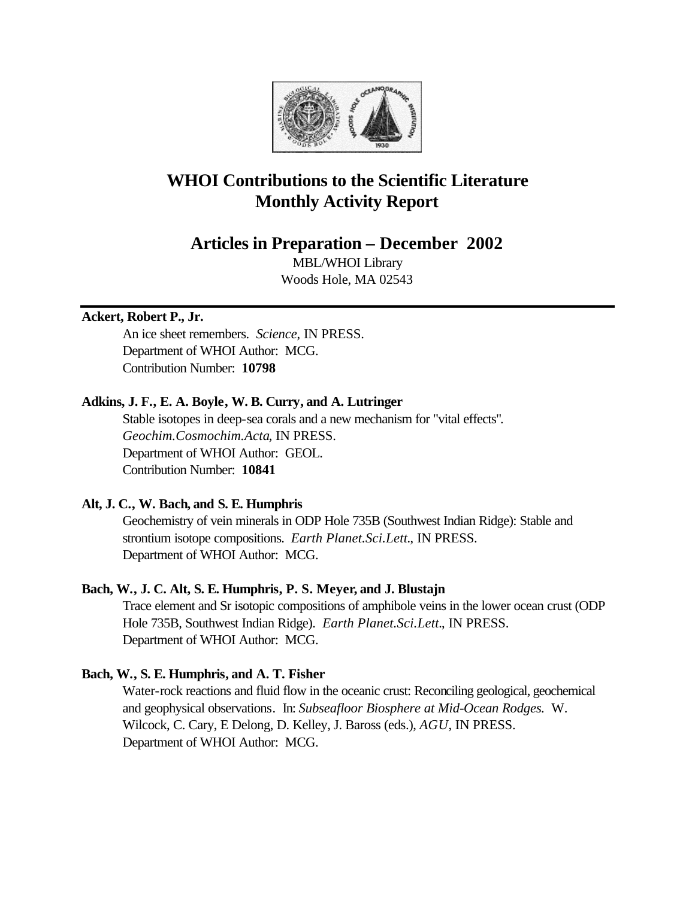

# **WHOI Contributions to the Scientific Literature Monthly Activity Report**

**Articles in Preparation – December 2002**

MBL/WHOI Library Woods Hole, MA 02543

# **Ackert, Robert P., Jr.**

An ice sheet remembers. *Science*, IN PRESS. Department of WHOI Author: MCG. Contribution Number: **10798**

# **Adkins, J. F., E. A. Boyle, W. B. Curry, and A. Lutringer**

Stable isotopes in deep-sea corals and a new mechanism for "vital effects". *Geochim.Cosmochim.Acta*, IN PRESS. Department of WHOI Author: GEOL. Contribution Number: **10841**

# **Alt, J. C., W. Bach, and S. E. Humphris**

Geochemistry of vein minerals in ODP Hole 735B (Southwest Indian Ridge): Stable and strontium isotope compositions. *Earth Planet.Sci.Lett.*, IN PRESS. Department of WHOI Author: MCG.

# **Bach, W., J. C. Alt, S. E. Humphris, P. S. Meyer, and J. Blustajn**

Trace element and Sr isotopic compositions of amphibole veins in the lower ocean crust (ODP Hole 735B, Southwest Indian Ridge). *Earth Planet.Sci.Lett.*, IN PRESS. Department of WHOI Author: MCG.

# **Bach, W., S. E. Humphris, and A. T. Fisher**

Water-rock reactions and fluid flow in the oceanic crust: Reconciling geological, geochemical and geophysical observations. In: *Subseafloor Biosphere at Mid-Ocean Rodges.* W. Wilcock, C. Cary, E Delong, D. Kelley, J. Baross (eds.), *AGU*, IN PRESS. Department of WHOI Author: MCG.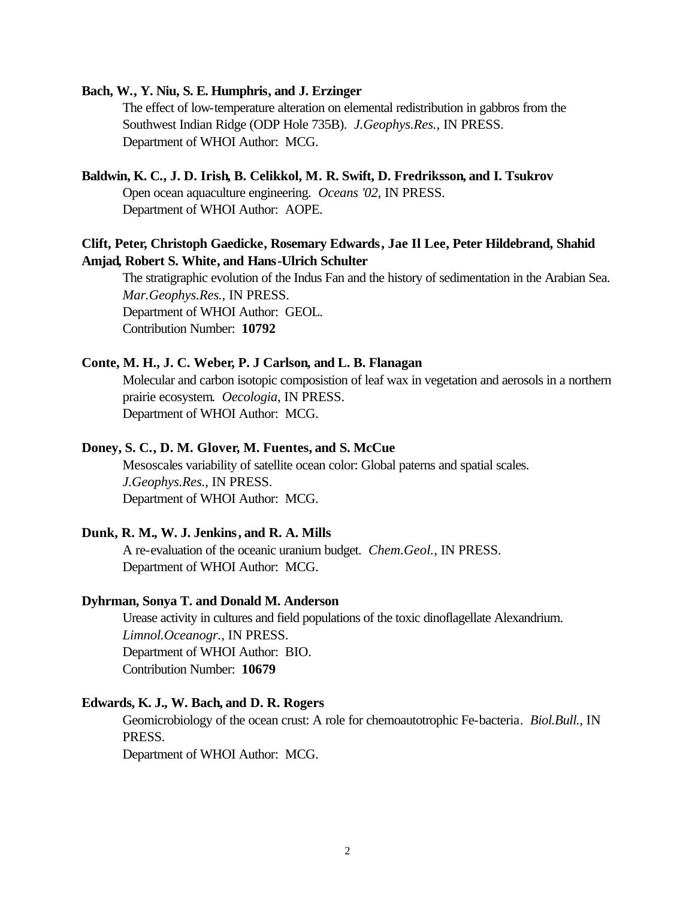#### **Bach, W., Y. Niu, S. E. Humphris, and J. Erzinger**

The effect of low-temperature alteration on elemental redistribution in gabbros from the Southwest Indian Ridge (ODP Hole 735B). *J.Geophys.Res.*, IN PRESS. Department of WHOI Author: MCG.

## **Baldwin, K. C., J. D. Irish, B. Celikkol, M. R. Swift, D. Fredriksson, and I. Tsukrov**

Open ocean aquaculture engineering. *Oceans '02*, IN PRESS. Department of WHOI Author: AOPE.

# **Clift, Peter, Christoph Gaedicke, Rosemary Edwards, Jae Il Lee, Peter Hildebrand, Shahid Amjad, Robert S. White, and Hans-Ulrich Schulter**

The stratigraphic evolution of the Indus Fan and the history of sedimentation in the Arabian Sea. *Mar.Geophys.Res.*, IN PRESS. Department of WHOI Author: GEOL. Contribution Number: **10792**

## **Conte, M. H., J. C. Weber, P. J Carlson, and L. B. Flanagan**

Molecular and carbon isotopic composistion of leaf wax in vegetation and aerosols in a northern prairie ecosystem. *Oecologia*, IN PRESS. Department of WHOI Author: MCG.

# **Doney, S. C., D. M. Glover, M. Fuentes, and S. McCue**

Mesoscales variability of satellite ocean color: Global paterns and spatial scales. *J.Geophys.Res.*, IN PRESS. Department of WHOI Author: MCG.

#### **Dunk, R. M., W. J. Jenkins, and R. A. Mills**

A re-evaluation of the oceanic uranium budget. *Chem.Geol.*, IN PRESS. Department of WHOI Author: MCG.

#### **Dyhrman, Sonya T. and Donald M. Anderson**

Urease activity in cultures and field populations of the toxic dinoflagellate Alexandrium. *Limnol.Oceanogr.*, IN PRESS. Department of WHOI Author: BIO. Contribution Number: **10679**

#### **Edwards, K. J., W. Bach, and D. R. Rogers**

Geomicrobiology of the ocean crust: A role for chemoautotrophic Fe-bacteria. *Biol.Bull.*, IN PRESS.

Department of WHOI Author: MCG.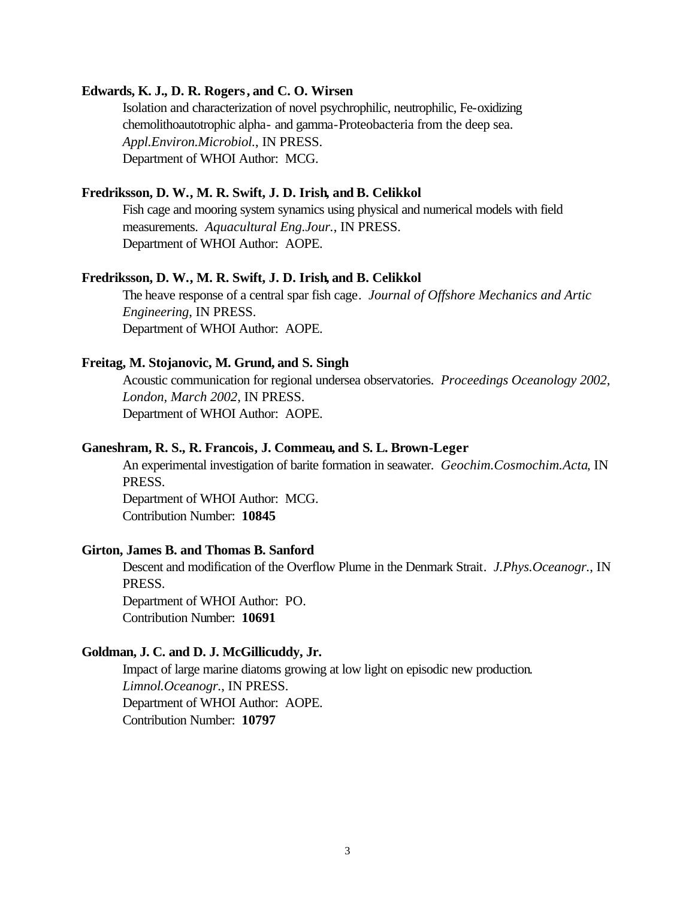#### **Edwards, K. J., D. R. Rogers, and C. O. Wirsen**

Isolation and characterization of novel psychrophilic, neutrophilic, Fe-oxidizing chemolithoautotrophic alpha- and gamma-Proteobacteria from the deep sea. *Appl.Environ.Microbiol.*, IN PRESS. Department of WHOI Author: MCG.

## **Fredriksson, D. W., M. R. Swift, J. D. Irish, and B. Celikkol**

Fish cage and mooring system synamics using physical and numerical models with field measurements. *Aquacultural Eng.Jour.*, IN PRESS. Department of WHOI Author: AOPE.

#### **Fredriksson, D. W., M. R. Swift, J. D. Irish, and B. Celikkol**

The heave response of a central spar fish cage. *Journal of Offshore Mechanics and Artic Engineering*, IN PRESS. Department of WHOI Author: AOPE.

#### **Freitag, M. Stojanovic, M. Grund, and S. Singh**

Acoustic communication for regional undersea observatories. *Proceedings Oceanology 2002, London, March 2002*, IN PRESS. Department of WHOI Author: AOPE.

## **Ganeshram, R. S., R. Francois, J. Commeau, and S. L. Brown-Leger**

An experimental investigation of barite formation in seawater. *Geochim.Cosmochim.Acta*, IN PRESS.

Department of WHOI Author: MCG.

Contribution Number: **10845**

## **Girton, James B. and Thomas B. Sanford**

Descent and modification of the Overflow Plume in the Denmark Strait. *J.Phys.Oceanogr.*, IN PRESS.

Department of WHOI Author: PO. Contribution Number: **10691**

#### **Goldman, J. C. and D. J. McGillicuddy, Jr.**

Impact of large marine diatoms growing at low light on episodic new production. *Limnol.Oceanogr.*, IN PRESS. Department of WHOI Author: AOPE. Contribution Number: **10797**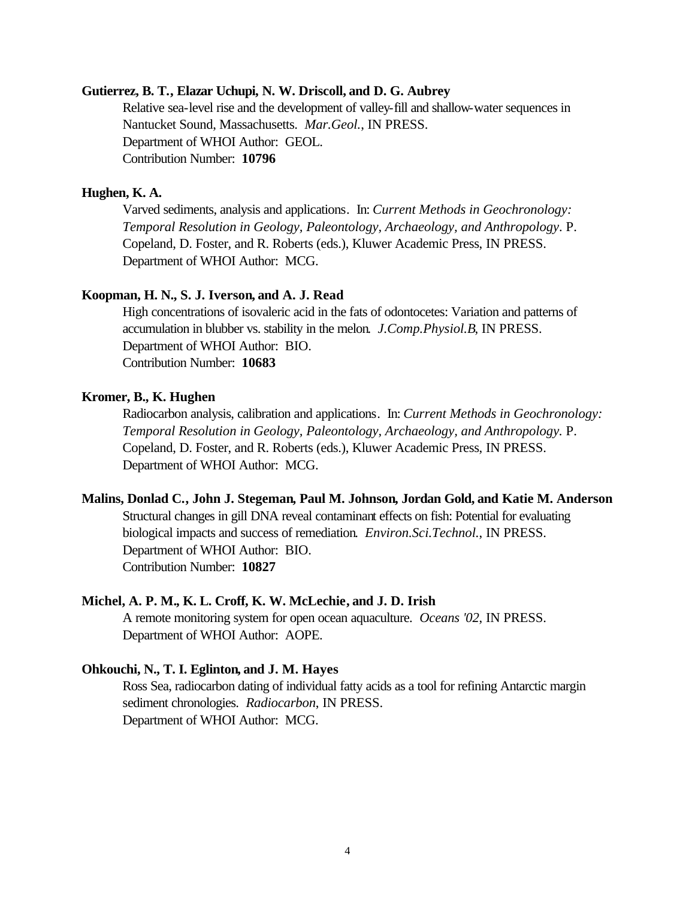#### **Gutierrez, B. T., Elazar Uchupi, N. W. Driscoll, and D. G. Aubrey**

Relative sea-level rise and the development of valley-fill and shallow-water sequences in Nantucket Sound, Massachusetts. *Mar.Geol.*, IN PRESS. Department of WHOI Author: GEOL. Contribution Number: **10796**

## **Hughen, K. A.**

Varved sediments, analysis and applications. In: *Current Methods in Geochronology: Temporal Resolution in Geology, Paleontology, Archaeology, and Anthropology*. P. Copeland, D. Foster, and R. Roberts (eds.), Kluwer Academic Press, IN PRESS. Department of WHOI Author: MCG.

#### **Koopman, H. N., S. J. Iverson, and A. J. Read**

High concentrations of isovaleric acid in the fats of odontocetes: Variation and patterns of accumulation in blubber vs. stability in the melon. *J.Comp.Physiol.B*, IN PRESS. Department of WHOI Author: BIO. Contribution Number: **10683**

## **Kromer, B., K. Hughen**

Radiocarbon analysis, calibration and applications. In: *Current Methods in Geochronology: Temporal Resolution in Geology, Paleontology, Archaeology, and Anthropology.* P. Copeland, D. Foster, and R. Roberts (eds.), Kluwer Academic Press, IN PRESS. Department of WHOI Author: MCG.

## **Malins, Donlad C., John J. Stegeman, Paul M. Johnson, Jordan Gold, and Katie M. Anderson**

Structural changes in gill DNA reveal contaminant effects on fish: Potential for evaluating biological impacts and success of remediation. *Environ.Sci.Technol.*, IN PRESS. Department of WHOI Author: BIO. Contribution Number: **10827**

#### **Michel, A. P. M., K. L. Croff, K. W. McLechie, and J. D. Irish**

A remote monitoring system for open ocean aquaculture. *Oceans '02*, IN PRESS. Department of WHOI Author: AOPE.

#### **Ohkouchi, N., T. I. Eglinton, and J. M. Hayes**

Ross Sea, radiocarbon dating of individual fatty acids as a tool for refining Antarctic margin sediment chronologies. *Radiocarbon*, IN PRESS. Department of WHOI Author: MCG.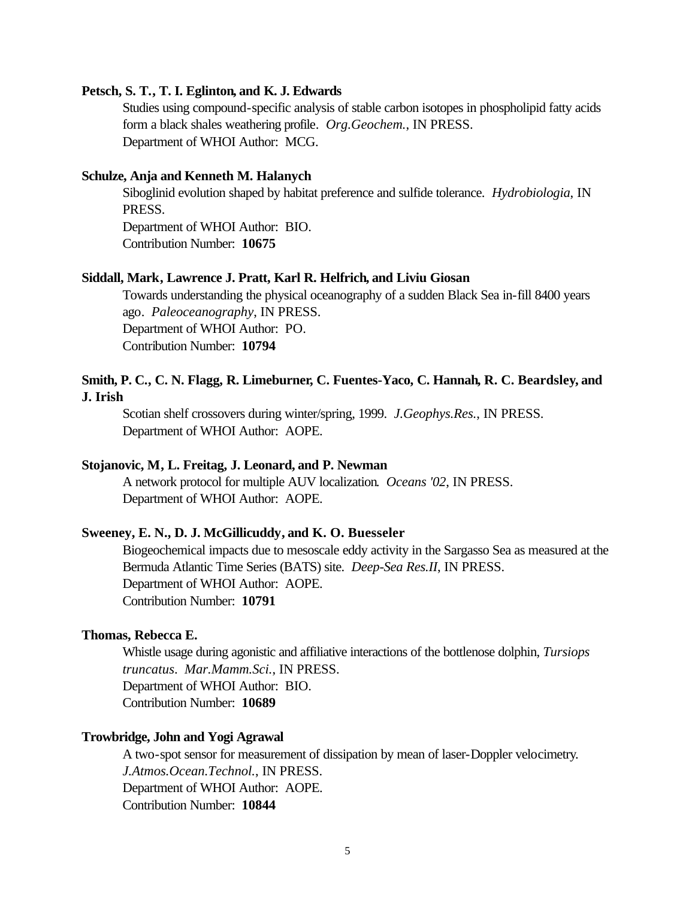#### **Petsch, S. T., T. I. Eglinton, and K. J. Edwards**

Studies using compound-specific analysis of stable carbon isotopes in phospholipid fatty acids form a black shales weathering profile. *Org.Geochem.*, IN PRESS. Department of WHOI Author: MCG.

## **Schulze, Anja and Kenneth M. Halanych**

Siboglinid evolution shaped by habitat preference and sulfide tolerance. *Hydrobiologia*, IN PRESS.

Department of WHOI Author: BIO. Contribution Number: **10675**

## **Siddall, Mark, Lawrence J. Pratt, Karl R. Helfrich, and Liviu Giosan**

Towards understanding the physical oceanography of a sudden Black Sea in-fill 8400 years ago. *Paleoceanography*, IN PRESS. Department of WHOI Author: PO. Contribution Number: **10794**

#### **Smith, P. C., C. N. Flagg, R. Limeburner, C. Fuentes-Yaco, C. Hannah, R. C. Beardsley, and J. Irish**

Scotian shelf crossovers during winter/spring, 1999. *J.Geophys.Res.*, IN PRESS. Department of WHOI Author: AOPE.

#### **Stojanovic, M, L. Freitag, J. Leonard, and P. Newman**

A network protocol for multiple AUV localization. *Oceans '02*, IN PRESS. Department of WHOI Author: AOPE.

#### **Sweeney, E. N., D. J. McGillicuddy, and K. O. Buesseler**

Biogeochemical impacts due to mesoscale eddy activity in the Sargasso Sea as measured at the Bermuda Atlantic Time Series (BATS) site. *Deep-Sea Res.II*, IN PRESS. Department of WHOI Author: AOPE. Contribution Number: **10791**

## **Thomas, Rebecca E.**

Whistle usage during agonistic and affiliative interactions of the bottlenose dolphin, *Tursiops truncatus*. *Mar.Mamm.Sci.*, IN PRESS. Department of WHOI Author: BIO. Contribution Number: **10689**

## **Trowbridge, John and Yogi Agrawal**

A two-spot sensor for measurement of dissipation by mean of laser-Doppler velocimetry. *J.Atmos.Ocean.Technol.*, IN PRESS. Department of WHOI Author: AOPE. Contribution Number: **10844**